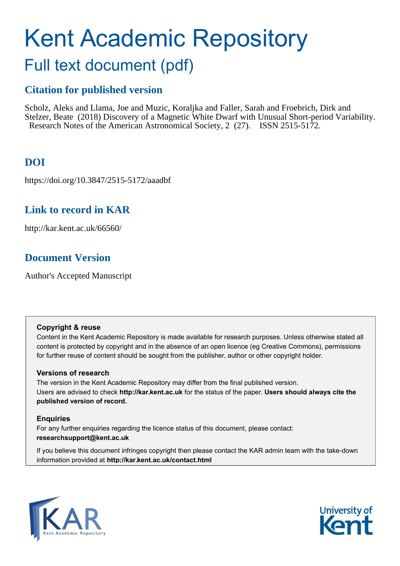# Kent Academic Repository

## Full text document (pdf)

## **Citation for published version**

Scholz, Aleks and Llama, Joe and Muzic, Koraljka and Faller, Sarah and Froebrich, Dirk and Stelzer, Beate (2018) Discovery of a Magnetic White Dwarf with Unusual Short-period Variability. Research Notes of the American Astronomical Society, 2 (27). ISSN 2515-5172.

## **DOI**

https://doi.org/10.3847/2515-5172/aaadbf

## **Link to record in KAR**

http://kar.kent.ac.uk/66560/

## **Document Version**

Author's Accepted Manuscript

#### **Copyright & reuse**

Content in the Kent Academic Repository is made available for research purposes. Unless otherwise stated all content is protected by copyright and in the absence of an open licence (eg Creative Commons), permissions for further reuse of content should be sought from the publisher, author or other copyright holder.

#### **Versions of research**

The version in the Kent Academic Repository may differ from the final published version. Users are advised to check **http://kar.kent.ac.uk** for the status of the paper. **Users should always cite the published version of record.**

#### **Enquiries**

For any further enquiries regarding the licence status of this document, please contact: **researchsupport@kent.ac.uk**

If you believe this document infringes copyright then please contact the KAR admin team with the take-down information provided at **http://kar.kent.ac.uk/contact.html**

<span id="page-0-0"></span>

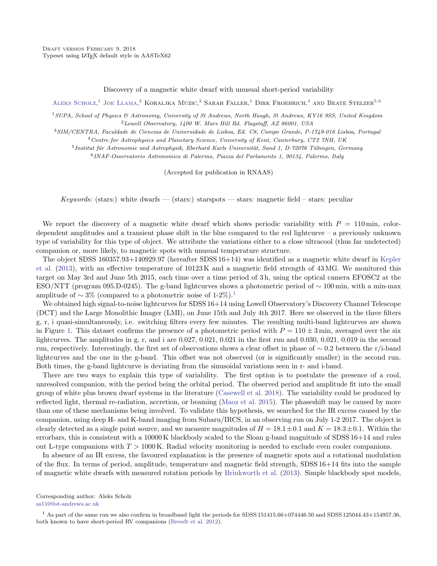Discovery of a magnetic white dwarf with unusual short-period variability

ALEKS SCHOLZ,<sup>1</sup> JOE LLAMA,<sup>2</sup> KORALJKA MUZIC,<sup>3</sup> SARAH FALLER,<sup>1</sup> DIRK FROEBRICH,<sup>4</sup> AND BEATE STELZER<sup>5,6</sup>

<sup>1</sup>SUPA, School of Physics & Astronomy, University of St Andrews, North Haugh, St Andrews, KY16 9SS, United Kingdom <sup>2</sup>Lowell Observatory, 1400 W. Mars Hill Rd. Flagstaff, AZ 86001, USA

<sup>3</sup>SIM/CENTRA, Faculdade de Ciencias de Universidade de Lisboa, Ed. C8, Campo Grande, P-1749-016 Lisboa, Portugal <sup>4</sup> Centre for Astrophysics and Planetary Science, University of Kent, Canterbury, CT2 7NH, UK

<sup>5</sup> Institut für Astronomie und Astrophysik, Eberhard Karls Universität, Sand 1, D-72076 Tübingen, Germany

6 INAF-Osservatorio Astronomico di Palermo, Piazza del Parlamento 1, 90134, Palermo, Italy

<span id="page-1-1"></span>(Accepted for publication in RNAAS)

Keywords: (stars:) white dwarfs  $-$  (stars:) starspots  $-$  stars: magnetic field  $-$  stars: peculiar

We report the discovery of a magnetic white dwarf which shows periodic variability with  $P = 110 \,\mathrm{min}$ , colordependent amplitudes and a transient phase shift in the blue compared to the red lightcurve – a previously unknown type of variability for this type of object. We attribute the variations either to a close ultracool (thus far undetected) companion or, more likely, to magnetic spots with unusual temperature structure.

The object SDSS 160357.93+140929.97 (hereafter SDSS 16+14) was identified as a magnetic white dwarf in [Kepler](#page-1-0) [et al.](#page-1-0) [\(2013\)](#page-1-0), with an effective temperature of 10123 K and a magnetic field strength of 43 MG. We monitored this target on May 3rd and June 5th 2015, each time over a time period of 3 h, using the optical camera EFOSC2 at the ESO/NTT (program 095.D-0245). The g-band lightcurves shows a photometric period of ∼ 100 min, with a min-max amplitude of  $\sim 3\%$  (compared to a photometric noise of [1](#page-0-0)-2%).<sup>1</sup>

We obtained high signal-to-noise lightcurves for SDSS 16+14 using Lowell Observatory's Discovery Channel Telescope (DCT) and the Large Monolithic Imager (LMI), on June 15th and July 4th 2017. Here we observed in the three filters g, r, i quasi-simultaneously, i.e. switching filters every few minutes. The resulting multi-band lightcurves are shown in Figure [1.](#page-1-1) This dataset confirms the presence of a photometric period with  $P = 110 \pm 3$  min, averaged over the six lightcurves. The amplitudes in g, r, and i are 0.027, 0.021, 0.021 in the first run and 0.030, 0.021, 0.019 in the second run, respectively. Interestingly, the first set of observations shows a clear offset in phase of ∼ 0.2 between the r/i-band lightcurves and the one in the g-band. This offset was not observed (or is significantly smaller) in the second run. Both times, the g-band lightcurve is deviating from the sinusoidal variations seen in r- and i-band.

<span id="page-1-7"></span><span id="page-1-6"></span><span id="page-1-5"></span><span id="page-1-4"></span><span id="page-1-3"></span><span id="page-1-2"></span><span id="page-1-0"></span>There are two ways to explain this type of variability. The first option is to postulate the presence of a cool, unresolved companion, with the period being the orbital period. The observed period and amplitude fit into the small group of white plus brown dwarf systems in the literature [\(Casewell et al. 2018\)](#page-1-2). The variability could be produced by reflected light, thermal re-radiation, accretion, or beaming [\(Maoz et al. 2015\)](#page-1-3). The phaseshift may be caused by more than one of these mechanisms being involved. To validate this hypothesis, we searched for the IR excess caused by the companion, using deep H- and K-band imaging from Subaru/IRCS, in an observing run on July 1-2 2017. The object is clearly detected as a single point source, and we measure magnitudes of  $H = 18.1 \pm 0.1$  and  $K = 18.3 \pm 0.1$ . Within the errorbars, this is consistent with a 10000 K blackbody scaled to the Sloan g-band magnitude of SDSS 16+14 and rules out L-type companions with  $T > 1000$  K. Radial velocity monitoring is needed to exclude even cooler companions.

In absence of an IR excess, the favoured explanation is the presence of magnetic spots and a rotational modulation of the flux. In terms of period, amplitude, temperature and magnetic field strength, SDSS 16+14 fits into the sample of magnetic white dwarfs with measured rotation periods by [Brinkworth et al.](#page-1-4) [\(2013\)](#page-1-4). Simple blackbody spot models,

Corresponding author: Aleks Scholz [as110@st-andrews.ac.uk](mailto: as110@st-andrews.ac.uk)

 $1$  As part of the same run we also confirm in broadband light the periods for SDSS 151415.66+074446.50 and SDSS 125044.43+154957.36, both known to have short-period RV companions [\(Breedt et al. 2012\)](#page-1-5).